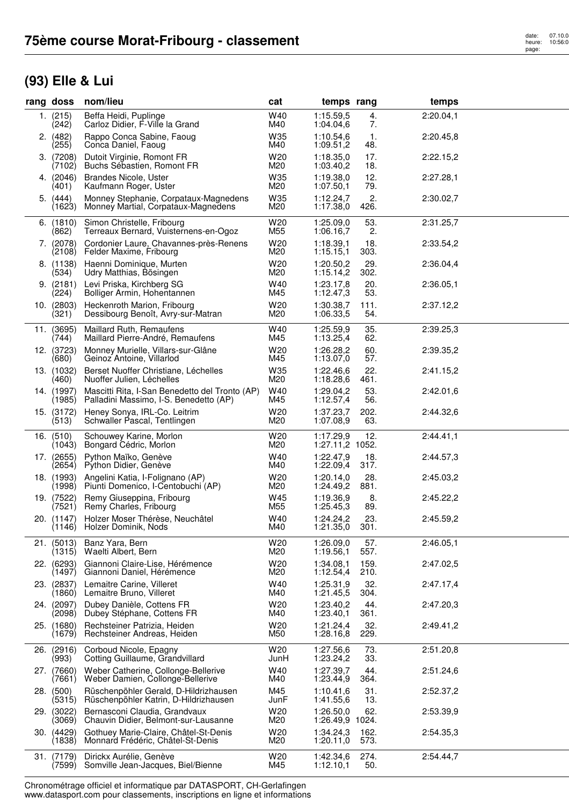## **(93) Elle & Lui**

| rang doss               | nom/lieu                                                                                 | cat                    | temps rang                   |              | temps     |  |
|-------------------------|------------------------------------------------------------------------------------------|------------------------|------------------------------|--------------|-----------|--|
| 1. (215)<br>(242)       | Beffa Heidi, Puplinge<br>Carloz Didier, F-Ville la Grand                                 | W40<br>M40             | 1:15.59,5<br>1:04.04,6       | 4.<br>7.     | 2:20.04,1 |  |
| 2. (482)<br>(255)       | Rappo Conca Sabine, Faoug<br>Conca Daniel, Faoug                                         | W35<br>M40             | 1:10.54,6<br>1:09.51,2       | 1.<br>48.    | 2:20.45,8 |  |
| 3. (7208)<br>(7102)     | Dutoit Virginie, Romont FR<br>Buchs Sébastien, Romont FR                                 | W <sub>20</sub><br>M20 | 1:18.35,0<br>1:03.40,2       | 17.<br>18.   | 2:22.15,2 |  |
| 4. (2046)<br>(401)      | <b>Brandes Nicole, Uster</b><br>Kaufmann Roger, Uster                                    | W35<br>M20             | 1:19.38,0<br>1:07.50,1       | 12.<br>79.   | 2:27.28,1 |  |
| 5. (444)<br>(1623)      | Monney Stephanie, Corpataux-Magnedens<br>Monney Martial, Corpataux-Magnedens             | W35<br>M20             | 1:12.24,7<br>1:17.38,0       | 2.<br>426.   | 2:30.02,7 |  |
| $6.$ (1810)<br>(862)    | Simon Christelle, Fribourg<br>Terreaux Bernard, Vuisternens-en-Ogoz                      | W <sub>20</sub><br>M55 | 1:25.09,0<br>1:06.16,7       | 53.<br>2.    | 2:31.25,7 |  |
| 7. (2078)<br>(2108)     | Cordonier Laure, Chavannes-près-Renens<br>Felder Maxime, Fribourg                        | W20<br>M20             | 1:18.39,1<br>1:15.15,1       | 18.<br>303.  | 2:33.54,2 |  |
| 8. (1138)<br>(534)      | Haenni Dominique, Murten<br>Udry Matthias, Bösingen                                      | W20<br>M20             | 1:20.50,2<br>1:15.14,2       | 29.<br>302.  | 2:36.04,4 |  |
| 9. (2181)<br>(224)      | Levi Priska, Kirchberg SG<br>Bolliger Armin, Hohentannen                                 | W40<br>M45             | 1:23.17,8<br>1:12.47,3       | 20.<br>53.   | 2:36.05,1 |  |
| $10.$ $(2803)$<br>(321) | Heckenroth Marion, Fribourg<br>Dessibourg Benoît, Avry-sur-Matran                        | W20<br>M20             | 1:30.38,7<br>1:06.33,5       | 111.<br>54.  | 2:37.12,2 |  |
| 11. (3695)<br>(744)     | Maillard Ruth, Remaufens<br>Maillard Pierre-André, Remaufens                             | W40<br>M45             | 1:25.59,9<br>1:13.25,4       | 35.<br>62.   | 2:39.25,3 |  |
| 12. (3723)<br>(680)     | Monney Murielle, Villars-sur-Glâne<br>Geinoz Antoine, Villarlod                          | W <sub>20</sub><br>M45 | 1:26.28.2<br>1:13.07,0       | 60.<br>57.   | 2:39.35,2 |  |
| 13. (1032)<br>(460)     | Berset Nuoffer Christiane, Léchelles<br>Nuoffer Julien, Léchelles                        | W35<br>M20             | 1:22.46,6<br>1:18.28,6       | 22.<br>461.  | 2:41.15,2 |  |
| 14. (1997)<br>(1985)    | Mascitti Rita, I-San Benedetto del Tronto (AP)<br>Palladini Massimo, I-S. Benedetto (AP) | W40<br>M45             | 1:29.04,2<br>1:12.57,4       | 53.<br>56.   | 2:42.01,6 |  |
| 15. (3172)<br>(513)     | Heney Sonya, IRL-Co. Leitrim<br>Schwaller Pascal, Tentlingen                             | W20<br>M20             | 1:37.23,7<br>1:07.08,9       | 202.<br>63.  | 2:44.32,6 |  |
| 16. (510)<br>(1043)     | Schouwey Karine, Morlon<br>Bongard Cédric, Morlon                                        | W <sub>20</sub><br>M20 | 1:17.29,9<br>1:27.11,2 1052. | 12.          | 2:44.41,1 |  |
| 17. (2655)<br>(2654)    | Python Maïko, Genève<br>Python Didier, Genève                                            | W40<br>M40             | 1:22.47,9<br>1:22.09,4       | 18.<br>317.  | 2:44.57,3 |  |
| 18. (1993)<br>(1998)    | Angelini Katia, I-Folignano (AP)<br>Piunti Domenico, I-Centobuchi (AP)                   | W <sub>20</sub><br>M20 | 1:20.14,0<br>1:24.49,2       | 28.<br>881.  | 2:45.03,2 |  |
| 19. (7522)<br>(7521)    | Remy Giuseppina, Fribourg<br>Remy Charles, Fribourg                                      | W45<br>M55             | 1:19.36,9<br>1:25.45,3       | 8.<br>89.    | 2:45.22,2 |  |
| 20. (1147)              | Holzer Moser Thérèse, Neuchâtel<br>(1146) Holzer Dominik, Nods                           | W40<br>M40             | 1:24.24,2<br>1:21.35,0       | 23.<br>301.  | 2:45.59,2 |  |
| 21. (5013)<br>(1315)    | Banz Yara, Bern<br>Waelti Albert, Bern                                                   | W20<br>M20             | 1:26.09.0<br>1:19.56,1       | 57.<br>557.  | 2:46.05,1 |  |
| 22. (6293)<br>(1497)    | Giannoni Claire-Lise, Hérémence<br>Giannoni Daniel, Hérémence                            | W20<br>M20             | 1:34.08,1<br>1:12.54,4       | 159.<br>210. | 2:47.02,5 |  |
| 23. (2837)<br>(1860)    | Lemaitre Carine, Villeret<br>Lemaitre Bruno, Villeret                                    | W40<br>M40             | 1:25.31,9<br>1:21.45,5       | 32.<br>304.  | 2:47.17,4 |  |
| 24. (2097)<br>(2098)    | Dubey Danièle, Cottens FR<br>Dubey Stéphane, Cottens FR                                  | W <sub>20</sub><br>M40 | 1:23.40,2<br>1:23.40,1       | 44.<br>361.  | 2:47.20,3 |  |
| 25. (1680)<br>(1679)    | Rechsteiner Patrizia, Heiden<br>Rechsteiner Andreas, Heiden                              | W20<br>M50             | 1:21.24,4<br>1:28.16,8       | 32.<br>229.  | 2:49.41,2 |  |
| 26. (2916)<br>(993)     | Corboud Nicole, Epagny<br>Cotting Guillaume, Grandvillard                                | W20<br>JunH            | 1:27.56.6<br>1:23.24,2       | 73.<br>33.   | 2:51.20,8 |  |
| 27. (7660)<br>(7661)    | Weber Catherine, Collonge-Bellerive<br>Weber Damien, Collonge-Bellerive                  | W40<br>M40             | 1:27.39,7<br>1:23.44,9       | 44.<br>364.  | 2:51.24,6 |  |
| 28. (500)<br>(5315)     | Rüschenpöhler Gerald, D-Hildrizhausen<br>Rüschenpöhler Katrin, D-Hildrizhausen           | M45<br>JunF            | 1:10.41,6<br>1:41.55,6       | 31.<br>13.   | 2:52.37,2 |  |
| 29. (3022)<br>(3069)    | Bernasconi Claudia, Grandvaux<br>Chauvin Didier, Belmont-sur-Lausanne                    | W <sub>20</sub><br>M20 | 1:26.50,0<br>1:26.49,9 1024. | 62.          | 2:53.39,9 |  |
| 30. (4429)<br>(1838)    | Gothuey Marie-Claire, Châtel-St-Denis<br>Monnard Frédéric, Châtel-St-Denis               | W20<br>M20             | 1:34.24,3<br>1:20.11,0       | 162.<br>573. | 2:54.35,3 |  |
| 31. (7179)<br>(7599)    | Dirickx Aurélie, Genève<br>Somville Jean-Jacques, Biel/Bienne                            | W <sub>20</sub><br>M45 | 1:42.34,6<br>1:12.10,1       | 274.<br>50.  | 2:54.44,7 |  |

Chronométrage officiel et informatique par DATASPORT, CH-Gerlafingen www.datasport.com pour classements, inscriptions en ligne et informations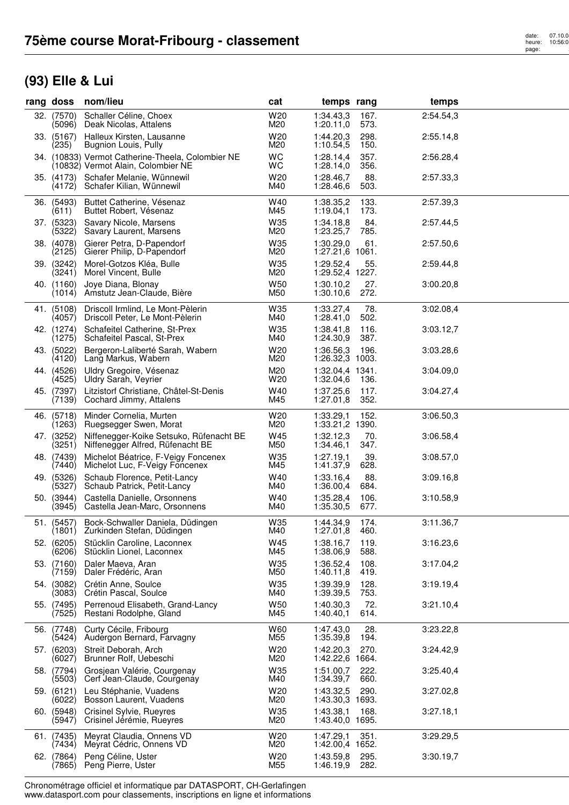## **(93) Elle & Lui**

| rang doss            | nom/lieu                                                                                | cat                    | temps rang                   |              | temps     |  |
|----------------------|-----------------------------------------------------------------------------------------|------------------------|------------------------------|--------------|-----------|--|
| 32. (7570)<br>(5096) | Schaller Céline, Choex<br>Deak Nicolas, Attalens                                        | W20<br>M20             | 1:34.43,3<br>1:20.11,0       | 167.<br>573. | 2:54.54,3 |  |
| 33. (5167)<br>(235)  | Halleux Kirsten, Lausanne<br>Bugnion Louis, Pully                                       | W20<br>M20             | 1:44.20.3<br>1:10.54,5       | 298.<br>150. | 2:55.14,8 |  |
|                      | 34. (10833) Vermot Catherine-Theela, Colombier NE<br>(10832) Vermot Alain, Colombier NE | <b>WC</b><br>WC        | 1:28.14,4<br>1:28.14,0       | 357.<br>356. | 2:56.28,4 |  |
| 35. (4173)<br>(4172) | Schafer Melanie, Wünnewil<br>Schafer Kilian, Wünnewil                                   | W20<br>M40             | 1:28.46,7<br>1:28.46,6       | 88.<br>503.  | 2:57.33,3 |  |
| 36. (5493)<br>(611)  | Buttet Catherine, Vésenaz<br>Buttet Robert, Vésenaz                                     | W40<br>M45             | 1:38.35,2<br>1:19.04,1       | 133.<br>173. | 2:57.39,3 |  |
| 37. (5323)<br>(5322) | Savary Nicole, Marsens<br>Savary Laurent, Marsens                                       | W35<br>M20             | 1:34.18.8<br>1:23.25,7       | 84.<br>785.  | 2:57.44,5 |  |
| 38. (4078)<br>(2125) | Gierer Petra, D-Papendorf<br>Gierer Philip, D-Papendorf                                 | W35<br>M20             | 1:30.29,0<br>1:27.21,6 1061. | 61.          | 2:57.50,6 |  |
| 39. (3242)<br>(3241) | Morel-Gotzos Kléa, Bulle<br>Morel Vincent, Bulle                                        | W35<br>M20             | 1:29.52,4<br>1:29.52,4 1227. | 55.          | 2:59.44,8 |  |
| 40. (1160)<br>(1014) | Joye Diana, Blonay<br>Amstutz Jean-Claude, Bière                                        | W50<br>M50             | 1:30.10,2<br>1:30.10,6       | 27.<br>272.  | 3:00.20,8 |  |
| 41. (5108)<br>(4057) | Driscoll Irmlind, Le Mont-Pèlerin<br>Driscoll Peter, Le Mont-Pèlerin                    | W35<br>M40             | 1:33.27,4<br>1:28.41,0       | 78.<br>502.  | 3:02.08,4 |  |
| 42. (1274)<br>(1275) | Schafeitel Catherine, St-Prex<br>Schafeitel Pascal, St-Prex                             | W35<br>M40             | 1:38.41,8<br>1:24.30,9       | 116.<br>387. | 3:03.12,7 |  |
| 43. (5022)<br>(4120) | Bergeron-Laliberté Sarah, Wabern<br>Lang Markus, Wabern                                 | W <sub>20</sub><br>M20 | 1:36.56,3<br>1:26.32,3 1003. | 196.         | 3:03.28,6 |  |
| 44. (4526)<br>(4525) | Uldry Gregoire, Vésenaz<br>Uldry Sarah, Veyrier                                         | M20<br>W20             | 1:32.04,4 1341.<br>1:32.04,6 | 136.         | 3:04.09,0 |  |
| 45. (7397)<br>(7139) | Litzistorf Christiane, Châtel-St-Denis<br>Cochard Jimmy, Attalens                       | W40<br>M45             | 1:37.25,6<br>1:27.01,8       | 117.<br>352. | 3:04.27,4 |  |
| 46. (5718)<br>(1263) | Minder Cornelia, Murten<br>Ruegsegger Swen, Morat                                       | W20<br>M20             | 1:33.29,1<br>1:33.21,2 1390. | 152.         | 3:06.50,3 |  |
| 47. (3252)<br>(3251) | Niffenegger-Koike Setsuko, Rüfenacht BE<br>Niffenegger Alfred, Rüfenacht BE             | W45<br>M50             | 1:32.12,3<br>1:34.46,1       | 70.<br>347.  | 3:06.58,4 |  |
| 48. (7439)<br>(7440) | Michelot Béatrice, F-Veigy Foncenex<br>Michelot Luc, F-Veigy Foncenex                   | W35<br>M45             | 1:27.19,1<br>1:41.37,9       | 39.<br>628.  | 3:08.57,0 |  |
| 49. (5326)<br>(5327) | Schaub Florence, Petit-Lancy<br>Schaub Patrick, Petit-Lancy                             | W40<br>M40             | 1:33.16,4<br>1:36.00,4       | 88.<br>684.  | 3:09.16,8 |  |
| 50. (3944)<br>(3945) | Castella Danielle, Orsonnens<br>Castella Jean-Marc, Orsonnens                           | W40<br>M40             | 1:35.28,4<br>1:35.30,5       | 106.<br>677. | 3:10.58,9 |  |
| 51. (5457)<br>(1801) | Bock-Schwaller Daniela, Düdingen<br>Zurkinden Stefan, Düdingen                          | W35<br>M40             | 1:44.34.9<br>1:27.01,8       | 174.<br>460. | 3:11.36,7 |  |
| 52. (6205)<br>(6206) | Stücklin Caroline, Laconnex<br>Stücklin Lionel, Laconnex                                | W45<br>M45             | 1:38.16,7<br>1:38.06,9       | 119.<br>588. | 3:16.23,6 |  |
| 53. (7160)<br>(7159) | Daler Maeva, Aran<br>Daler Frédéric, Aran                                               | W35<br>M50             | 1:36.52,4<br>1:40.11,8       | 108.<br>419. | 3:17.04,2 |  |
| 54. (3082)<br>(3083) | Crétin Anne, Soulce<br>Crétin Pascal, Soulce                                            | W35<br>M40             | 1:39.39,9<br>1:39.39,5       | 128.<br>753. | 3:19.19,4 |  |
| 55. (7495)<br>(7525) | Perrenoud Elisabeth, Grand-Lancy<br>Restani Rodolphe, Gland                             | W50<br>M45             | 1:40.30,3<br>1:40.40,1       | 72.<br>614.  | 3:21.10,4 |  |
| 56. (7748)<br>(5424) | Curty Cécile, Fribourg<br>Audergon Bernard, Farvagny                                    | W60<br>M55             | 1:47.43,0<br>1:35.39,8       | 28.<br>194.  | 3:23.22,8 |  |
| 57. (6203)<br>(6027) | Streit Deborah, Arch<br>Brunner Rolf, Uebeschi                                          | W20<br>M20             | 1:42.20,3<br>1:42.22,6 1664. | 270.         | 3:24.42,9 |  |
| 58. (7794)<br>(5503) | Grosjean Valérie, Courgenay<br>Cerf Jean-Claude, Courgenay                              | W35<br>M40             | 1:51.00,7<br>1:34.39,7       | 222.<br>660. | 3:25.40,4 |  |
| 59. (6121)<br>(6022) | Leu Stéphanie, Vuadens<br>Bosson Laurent, Vuadens                                       | W20<br>M20             | 1:43.32,5<br>1:43.30,3 1693. | 290.         | 3:27.02,8 |  |
| 60. (5948)<br>(5947) | Crisinel Sylvie, Rueyres<br>Crisinel Jérémie, Rueyres                                   | W35<br>M20             | 1:43.38.1<br>1:43.40,0 1695. | 168.         | 3:27.18,1 |  |
| 61. (7435)<br>(7434) | Meyrat Claudia, Onnens VD<br>Meyrat Cédric, Onnens VD                                   | W20<br>M20             | 1:47.29,1<br>1:42.00,4 1652. | 351.         | 3:29.29,5 |  |
| 62. (7864)<br>(7865) | Peng Céline, Uster<br>Peng Pierre, Uster                                                | W20<br>M55             | 1:43.59,8<br>1:46.19,9       | 295.<br>282. | 3:30.19,7 |  |

Chronométrage officiel et informatique par DATASPORT, CH-Gerlafingen www.datasport.com pour classements, inscriptions en ligne et informations